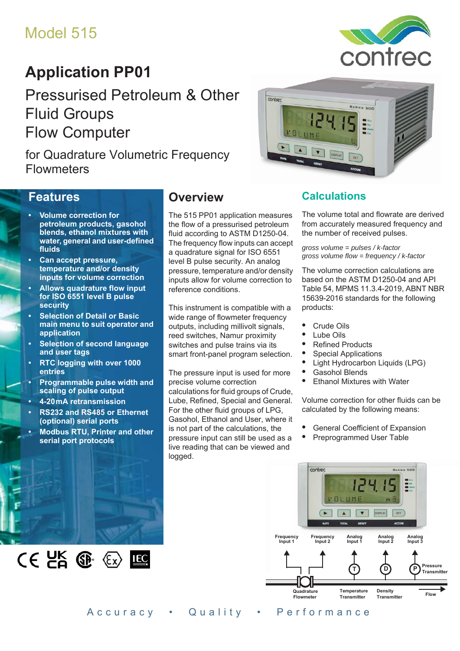# Model 515

# **Application PP01**

Pressurised Petroleum & Other Fluid Groups Flow Computer

for Quadrature Volumetric Frequency **Flowmeters** 

#### **Features**

- **Volume correction for petroleum products, gasohol blends, ethanol mixtures with water, general and user-defined fluids**
- **Can accept pressure, temperature and/or density inputs for volume correction**
- **Allows quadrature flow input for ISO 6551 level B pulse security**
- **Selection of Detail or Basic main menu to suit operator and application**
- **Selection of second language and user tags**
- **RTC logging with over 1000 entries**
- **Programmable pulse width and scaling of pulse output**
- **4-20 mA retransmission**
- **RS232 and RS485 or Ethernet (optional) serial ports**
- **Modbus RTU, Printer and other serial port protocols**

 $CE$   $E$   $E$   $E$ 

## **Overview**

The 515 PP01 application measures the flow of a pressurised petroleum fluid according to ASTM D1250-04. The frequency flow inputs can accept a quadrature signal for ISO 6551 level B pulse security. An analog pressure, temperature and/or density inputs allow for volume correction to reference conditions.

This instrument is compatible with a wide range of flowmeter frequency outputs, including millivolt signals, reed switches, Namur proximity switches and pulse trains via its smart front-panel program selection.

The pressure input is used for more precise volume correction calculations for fluid groups of Crude, Lube, Refined, Special and General. For the other fluid groups of LPG, Gasohol, Ethanol and User, where it is not part of the calculations, the pressure input can still be used as a live reading that can be viewed and logged.



### **Calculations**

The volume total and flowrate are derived from accurately measured frequency and the number of received pulses.

contrec

*gross volume = pulses / k-factor gross volume flow = frequency / k-factor*

The volume correction calculations are based on the ASTM D1250-04 and API Table 54, MPMS 11.3.4-2019, ABNT NBR 15639-2016 standards for the following products:

- **•** Crude Oils
- **•** Lube Oils
- **•** Refined Products
- **•** Special Applications
- **•** Light Hydrocarbon Liquids (LPG)
- **•** Gasohol Blends
	- **•** Ethanol Mixtures with Water

Volume correction for other fluids can be calculated by the following means:

- General Coefficient of Expansion<br>• Preprogrammed User Table
- **•** Preprogrammed User Table



Accuracy • Quality • Performance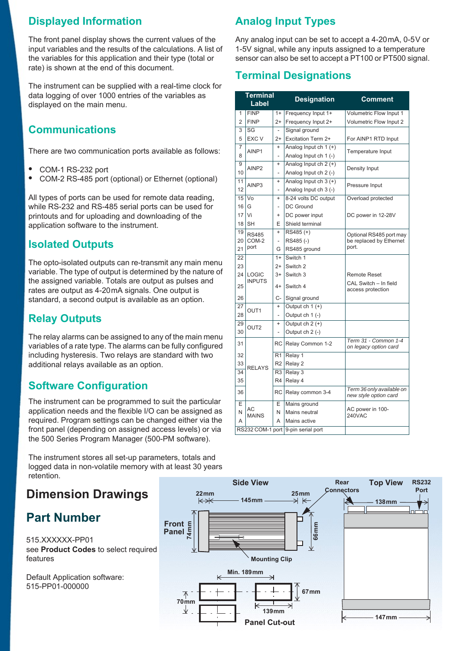## **Displayed Information**

The front panel display shows the current values of the input variables and the results of the calculations. A list of the variables for this application and their type (total or rate) is shown at the end of this document.

The instrument can be supplied with a real-time clock for data logging of over 1000 entries of the variables as displayed on the main menu.

## **Communications**

There are two communication ports available as follows:

- **•** COM-1 RS-232 port
- **•** COM-2 RS-485 port (optional) or Ethernet (optional)

All types of ports can be used for remote data reading, while RS-232 and RS-485 serial ports can be used for printouts and for uploading and downloading of the application software to the instrument.

## **Isolated Outputs**

The opto-isolated outputs can re-transmit any main menu variable. The type of output is determined by the nature of the assigned variable. Totals are output as pulses and rates are output as 4-20 mA signals. One output is standard, a second output is available as an option.

### **Relay Outputs**

The relay alarms can be assigned to any of the main menu variables of a rate type. The alarms can be fully configured including hysteresis. Two relays are standard with two additional relays available as an option.

## **Software Configuration**

The instrument can be programmed to suit the particular application needs and the flexible I/O can be assigned as required. Program settings can be changed either via the front panel (depending on assigned access levels) or via the 500 Series Program Manager (500-PM software).

The instrument stores all set-up parameters, totals and logged data in non-volatile memory with at least 30 years retention.

## **Dimension Drawings**

## **Part Number**

515.XXXXXX-PP01 see **[Product Codes](#page-3-0)** to select required features

Default Application software: 515-PP01-000000

## **Analog Input Types**

Any analog input can be set to accept a 4-20 mA, 0-5 V or 1-5V signal, while any inputs assigned to a temperature sensor can also be set to accept a PT100 or PT500 signal.

## **Terminal Designations**

|                 | <b>Terminal</b><br>Label |                          | <b>Designation</b>                 | <b>Comment</b>                                     |  |  |
|-----------------|--------------------------|--------------------------|------------------------------------|----------------------------------------------------|--|--|
| 1               | <b>FINP</b>              | $1+$                     | Frequency Input 1+                 | Volumetric Flow Input 1                            |  |  |
| $\overline{2}$  | <b>FINP</b><br>$2+$      |                          | Frequency Input 2+                 | Volumetric Flow Input 2                            |  |  |
| 3               | $\overline{\text{SG}}$   |                          | Signal ground                      |                                                    |  |  |
| 5               | EXC V                    | $2+$                     | Excitation Term 2+                 | For AINP1 RTD Input                                |  |  |
| 7               | AINP1                    | $\ddot{}$                | Analog Input ch 1 (+)              | Temperature Input                                  |  |  |
| 8               |                          | $\overline{a}$           | Analog Input ch 1 (-)              |                                                    |  |  |
| 9               | AINP <sub>2</sub>        | $\ddot{}$                | Analog Input ch 2 (+)              | Density Input                                      |  |  |
| 10              |                          | $\overline{a}$           | Analog Input ch 2 (-)              |                                                    |  |  |
| $\overline{11}$ | AINP3                    | $\ddot{}$                | Analog Input ch 3 (+)              | Pressure Input                                     |  |  |
| 12              |                          | $\overline{\phantom{0}}$ | Analog Input ch 3 (-)              |                                                    |  |  |
| 15 <sup>1</sup> | Vo                       | $\ddot{}$                | 8-24 volts DC output               | Overload protected                                 |  |  |
| 16              | G                        | $\overline{\phantom{0}}$ | DC Ground                          |                                                    |  |  |
| 17              | Vi                       | $\ddot{}$                | DC power input                     | DC power in 12-28V                                 |  |  |
| 18              | <b>SH</b>                | Е                        | Shield terminal                    |                                                    |  |  |
| 19              | <b>RS485</b>             | $\ddot{}$                | $RS485 (+)$                        | Optional RS485 port may                            |  |  |
| 20              | COM-2                    | $\overline{\phantom{0}}$ | RS485(-)                           | be replaced by Ethernet<br>port.                   |  |  |
| 21              | port                     | G                        | RS485 ground                       |                                                    |  |  |
| 22              |                          | $1+$                     | Switch 1                           |                                                    |  |  |
| 23              |                          | $2+$                     | Switch <sub>2</sub>                |                                                    |  |  |
| 24              | <b>LOGIC</b>             | $3+$                     | Switch 3                           | <b>Remote Reset</b>                                |  |  |
| 25              | <b>INPUTS</b>            | $4+$                     | Switch 4                           | CAL Switch - In field<br>access protection         |  |  |
| 26              |                          | C-                       | Signal ground                      |                                                    |  |  |
| 27              | OUT <sub>1</sub>         | $\ddot{}$                | Output $ch 1 (+)$                  |                                                    |  |  |
| 28              |                          | $\overline{a}$           | Output ch 1 (-)                    |                                                    |  |  |
| 29              | OUT <sub>2</sub>         | $\ddot{}$                | Output $ch 2 (+)$                  |                                                    |  |  |
| 30              |                          | $\overline{a}$           | Output ch 2 (-)                    |                                                    |  |  |
| 31              |                          | RC                       | Relay Common 1-2                   | Term 31 - Common 1-4<br>on legacy option card      |  |  |
| 32              |                          | R <sub>1</sub>           | Relay 1                            |                                                    |  |  |
| 33              |                          | R <sub>2</sub>           | Relay 2                            |                                                    |  |  |
| $\overline{34}$ | <b>RELAYS</b>            | R3                       | Relay 3                            |                                                    |  |  |
| 35              |                          | R4                       | Relay 4                            |                                                    |  |  |
| 36              |                          | <b>RC</b>                | Relay common 3-4                   | Term 36 only available on<br>new style option card |  |  |
| E               |                          | Е                        | Mains ground                       |                                                    |  |  |
| N               | AC<br><b>MAINS</b>       | N                        | Mains neutral                      | AC power in 100-<br><b>240VAC</b>                  |  |  |
| A               |                          | A                        | Mains active                       |                                                    |  |  |
|                 |                          |                          | RS232 COM-1 port 9-pin serial port |                                                    |  |  |

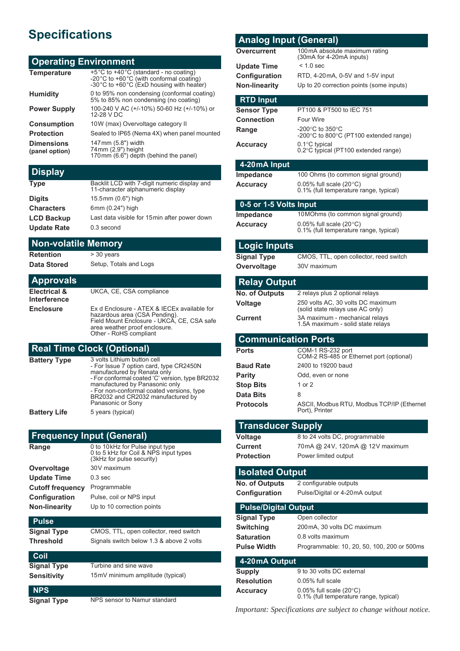# **Specifications**

#### **Operating Environment**

| <b>Temperature</b>                  | +5°C to +40°C (standard - no coating)<br>-20°C to +60°C (with conformal coating)<br>-30°C to +60°C (ExD housing with heater) |
|-------------------------------------|------------------------------------------------------------------------------------------------------------------------------|
| <b>Humidity</b>                     | 0 to 95% non condensing (conformal coating)<br>5% to 85% non condensing (no coating)                                         |
| <b>Power Supply</b>                 | 100-240 V AC (+/-10%) 50-60 Hz (+/-10%) or<br>12-28 V DC                                                                     |
| <b>Consumption</b>                  | 10W (max) Overvoltage category II                                                                                            |
| <b>Protection</b>                   | Sealed to IP65 (Nema 4X) when panel mounted                                                                                  |
| <b>Dimensions</b><br>(panel option) | 147mm (5.8") width<br>74mm (2.9") height<br>170mm (6.6") depth (behind the panel)                                            |

#### **Display**

| <b>Type</b>        | Backlit LCD with 7-digit numeric display and<br>11-character alphanumeric display |
|--------------------|-----------------------------------------------------------------------------------|
| <b>Digits</b>      | 15.5mm (0.6") high                                                                |
| <b>Characters</b>  | 6mm (0.24") high                                                                  |
| <b>LCD Backup</b>  | Last data visible for 15 min after power down                                     |
| <b>Update Rate</b> | 0.3 second                                                                        |

#### **Non-volatile Memory**

**Retention** > 30 years

**Data Stored** Setup, Totals and Logs

#### **Approvals**

**Electrical & Interference** UKCA, CE, CSA compliance **Enclosure** Ex d Enclosure - ATEX & IECEx available for hazardous area (CSA Pending). Field Mount Enclosure - UKCA, CE, CSA safe area weather proof enclosure. Other - RoHS compliant

#### **Real Time Clock (Optional)**

| <b>Battery Type</b> | 3 volts Lithium button cell<br>- For Issue 7 option card, type CR2450N<br>manufactured by Renata only<br>- For conformal coated 'C' version, type BR2032<br>manufactured by Panasonic only<br>- For non-conformal coated versions, type<br>BR2032 and CR2032 manufactured by<br>Panasonic or Sony |
|---------------------|---------------------------------------------------------------------------------------------------------------------------------------------------------------------------------------------------------------------------------------------------------------------------------------------------|
| Battery Life        | 5 years (typical)                                                                                                                                                                                                                                                                                 |

#### **Frequency Input (General)**

| Range                   | 0 to 10 kHz for Pulse input type<br>0 to 5 kHz for Coil & NPS input types<br>(3kHz for pulse security) |
|-------------------------|--------------------------------------------------------------------------------------------------------|
| Overvoltage             | 30V maximum                                                                                            |
| <b>Update Time</b>      | $0.3$ sec                                                                                              |
| <b>Cutoff frequency</b> | Programmable                                                                                           |
| <b>Configuration</b>    | Pulse, coil or NPS input                                                                               |
| <b>Non-linearity</b>    | Up to 10 correction points                                                                             |
| <b>Pulse</b>            |                                                                                                        |

## **Signal Type** CMOS, TTL, open collector, reed switch **Threshold** Signals switch below 1.3 & above 2 volts

| <b>Coil</b>        |                                  |
|--------------------|----------------------------------|
| <b>Signal Type</b> | Turbine and sine wave            |
| <b>Sensitivity</b> | 15mV minimum amplitude (typical) |
| <b>NPS</b>         |                                  |
| <b>Signal Type</b> | NPS sensor to Namur standard     |

#### **Analog Input (General) Overcurrent** 100mA absolute maximum rating (30mA for 4-20mA inputs) **Update Time** < 1.0 sec **Configuration** RTD, 4-20mA, 0-5V and 1-5V input **Non-linearity** Up to 20 correction points (some inputs) **RTD Input Sensor Type** PT100 & PT500 to IEC 751 **Connection** Four Wire **Range -**200°C to 350°C<br>-200°C to 800°C (PT100 extended range) **Accuracy** 0.1°C typical<br>0.2°C typical (PT100 extended range) **4-20 mA Input Impedance** 100 Ohms (to common signal ground) **Accuracy** 0.05% full scale (20 °C) 0.1% (full temperature range, typical) **0-5 or 1-5 Volts Input Impedance** 10 MOhms (to common signal ground) **Accuracy** 0.05% full scale (20°C) 0.1% (full temperature range, typical) **Logic Inputs Signal Type** CMOS, TTL, open collector, reed switch **Overvoltage** 30V maximum **Relay Output No. of Outputs** 2 relays plus 2 optional relays **Voltage** 250 volts AC, 30 volts DC maximum (solid state relays use AC only) **Current** 3A maximum - mechanical relays 1.5A maximum - solid state relays **Communication Ports Ports** COM-1 RS-232 port COM-2 RS-485 or Ethernet port (optional) **Baud Rate** 2400 to 19200 baud **Parity** Odd, even or none **Stop Bits** 1 or 2 **Data Bits** 8 **Protocols** ASCII, Modbus RTU, Modbus TCP/IP (Ethernet Port), Printer **Transducer Supply Voltage** 8 to 24 volts DC, programmable **Current** 70mA @ 24V, 120mA @ 12V maximum **Protection** Power limited output **Isolated Output No. of Outputs** 2 configurable outputs **Configuration** Pulse/Digital or 4-20mA output **Pulse/Digital Output Signal Type** Open collector **Switching** 200mA, 30 volts DC maximum **Saturation** 0.8 volts maximum **Pulse Width** Programmable: 10, 20, 50, 100, 200 or 500ms **4-20 mA Output**

| Supply            | 9 to 30 yolts DC external                                                      |
|-------------------|--------------------------------------------------------------------------------|
| <b>Resolution</b> | 0.05% full scale                                                               |
| <b>Accuracy</b>   | $0.05\%$ full scale (20 $\degree$ C)<br>0.1% (full temperature range, typical) |

*Important: Specifications are subject to change without notice.*